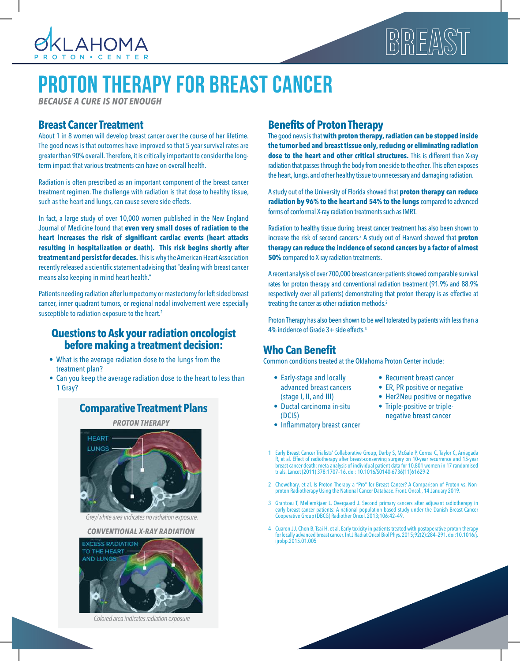

# $\begin{array}{|c|c|c|c|c|}\hline \text{D} & \text{D} & \text{D} & \text{D} & \text{D} & \text{D} & \text{D} & \text{D} & \text{D} & \text{D} & \text{D} & \text{D} & \text{D} & \text{D} & \text{D} & \text{D} & \text{D} & \text{D} & \text{D} & \text{D} & \text{D} & \text{D} & \text{D} & \text{D} & \text{D} & \text{D} & \text{D} & \text{D} & \text{D} & \text{D} & \text{D} & \text{D} & \text{D} & \text{$

### PROTON THERAPY FOR BREAST CANCER

*BECAUSE A CURE IS NOT ENOUGH*

#### **Breast Cancer Treatment**

About 1 in 8 women will develop breast cancer over the course of her lifetime. The good news is that outcomes have improved so that 5-year survival rates are greater than 90% overall. Therefore, it is critically important to consider the longterm impact that various treatments can have on overall health.

Radiation is often prescribed as an important component of the breast cancer treatment regimen. The challenge with radiation is that dose to healthy tissue, such as the heart and lungs, can cause severe side effects.

In fact, a large study of over 10,000 women published in the New England Journal of Medicine found that **even very small doses of radiation to the heart increases the risk of significant cardiac events (heart attacks resulting in hospitalization or death). This risk begins shortly after treatment and persist for decades.** This is why the American Heart Association recently released a scientific statement advising that "dealing with breast cancer means also keeping in mind heart health."

Patients needing radiation after lumpectomy or mastectomy for left sided breast cancer, inner quadrant tumors, or regional nodal involvement were especially susceptible to radiation exposure to the heart.<sup>2</sup>

#### **Questions to Ask your radiation oncologist before making a treatment decision:**

- What is the average radiation dose to the lungs from the treatment plan?
- Can you keep the average radiation dose to the heart to less than 1 Gray?

#### **Comparative Treatment Plans**

*PROTON THERAPY*



*Grey/white area indicates no radiation exposure.*

#### *CONVENTIONAL X-RAY RADIATION*



*Colored area indicates radiation exposure*

#### **Benefits of Proton Therapy**

The good news is that **with proton therapy, radiation can be stopped inside the tumor bed and breast tissue only, reducing or eliminating radiation dose to the heart and other critical structures.** This is different than X-ray radiation that passes through the body from one side to the other. This often exposes the heart, lungs, and other healthy tissue to unnecessary and damaging radiation.

A study out of the University of Florida showed that **proton therapy can reduce radiation by 96% to the heart and 54% to the lungs** compared to advanced forms of conformal X-ray radiation treatments such as IMRT.

Radiation to healthy tissue during breast cancer treatment has also been shown to increase the risk of second cancers.<sup>3</sup> A study out of Harvard showed that **proton therapy can reduce the incidence of second cancers by a factor of almost 50%** compared to X-ray radiation treatments.

A recent analysis of over 700,000 breast cancer patients showed comparable survival rates for proton therapy and conventional radiation treatment (91.9% and 88.9% respectively over all patients) demonstrating that proton therapy is as effective at treating the cancer as other radiation methods.<sup>2</sup>

Proton Therapy has also been shown to be well tolerated by patients with less than a 4% incidence of Grade 3+ side effects.<sup>4</sup>

#### **Who Can Benefit**

Common conditions treated at the Oklahoma Proton Center include:

- Early-stage and locally advanced breast cancers (stage I, II, and III)
- Ductal carcinoma in-situ (DCIS)
- Inflammatory breast cancer
- Recurrent breast cancer
- ER, PR positive or negative
- Her2Neu positive or negative
- Triple-positive or triplenegative breast cancer
- 1 Early Breast Cancer Trialists' Collaborative Group, Darby S, McGale P, Correa C, Taylor C, Arriagada R, et al. Effect of radiotherapy after breast-conserving surgery on 10-year recurrence and 15-year breast cancer death: meta-analysis of individual patient data for 10,801 women in 17 randomised trials. Lancet (2011) 378:1707–16. doi: 10.1016/S0140-6736(11)61629-2
- 2 Chowdhary, et al. Is Proton Therapy a "Pro" for Breast Cancer? A Comparison of Proton vs. Nonproton Radiotherapy Using the National Cancer Database. Front. Oncol., 14 January 2019.
- 3 Grantzau T, Mellemkjaer L, Overgaard J. Second primary cancers after adjuvant radiotherapy in early breast cancer patients: A national population based study under the Danish Breast Cancer Cooperative Group (DBCG) Radiother Oncol. 2013;106:42–49.
- 4 Cuaron JJ, Chon B, Tsai H, et al. Early toxicity in patients treated with postoperative proton therapy for locally advanced breast cancer. Int J Radiat Oncol Biol Phys. 2015;92(2):284–291. doi:10.1016/j. ijrobp.2015.01.005